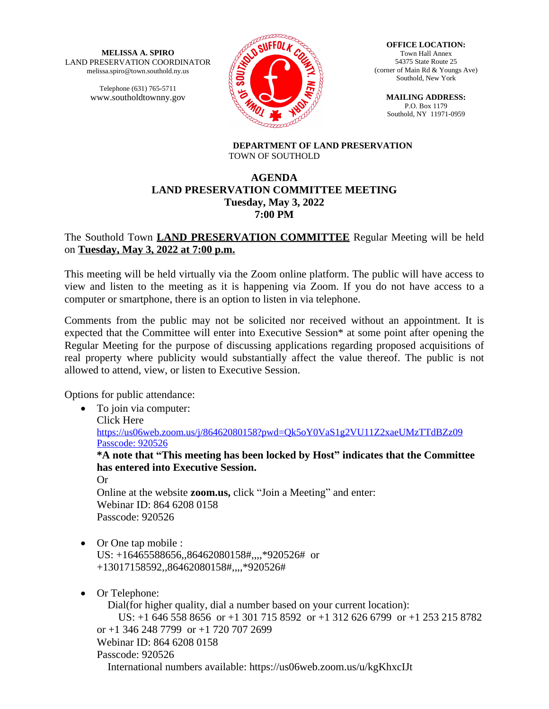**MELISSA A. SPIRO** LAND PRESERVATION COORDINATOR melissa.spiro@town.southold.ny.us

> Telephone (631) 765-5711 www.southoldtownny.gov



**OFFICE LOCATION:** Town Hall Annex 54375 State Route 25 (corner of Main Rd & Youngs Ave) Southold, New York

**MAILING ADDRESS:** P.O. Box 1179 Southold, NY 11971-0959

**DEPARTMENT OF LAND PRESERVATION** TOWN OF SOUTHOLD

# **AGENDA LAND PRESERVATION COMMITTEE MEETING Tuesday, May 3, 2022 7:00 PM**

# The Southold Town **LAND PRESERVATION COMMITTEE** Regular Meeting will be held on **Tuesday, May 3, 2022 at 7:00 p.m.**

This meeting will be held virtually via the Zoom online platform. The public will have access to view and listen to the meeting as it is happening via Zoom. If you do not have access to a computer or smartphone, there is an option to listen in via telephone.

Comments from the public may not be solicited nor received without an appointment. It is expected that the Committee will enter into Executive Session\* at some point after opening the Regular Meeting for the purpose of discussing applications regarding proposed acquisitions of real property where publicity would substantially affect the value thereof. The public is not allowed to attend, view, or listen to Executive Session.

Options for public attendance:

• To join via computer: Click Here <https://us06web.zoom.us/j/86462080158?pwd=Qk5oY0VaS1g2VU11Z2xaeUMzTTdBZz09> Passcode: 920526 **\*A note that "This meeting has been locked by Host" indicates that the Committee has entered into Executive Session.** Or Online at the website **zoom.us,** click "Join a Meeting" and enter: Webinar ID: 864 6208 0158 Passcode: 920526 • Or One tap mobile : US: +16465588656,,86462080158#,,,,\*920526# or +13017158592,,86462080158#,,,,\*920526# • Or Telephone: Dial(for higher quality, dial a number based on your current location):

 US: +1 646 558 8656 or +1 301 715 8592 or +1 312 626 6799 or +1 253 215 8782 or +1 346 248 7799 or +1 720 707 2699 Webinar ID: 864 6208 0158 Passcode: 920526 International numbers available: https://us06web.zoom.us/u/kgKhxcIJt